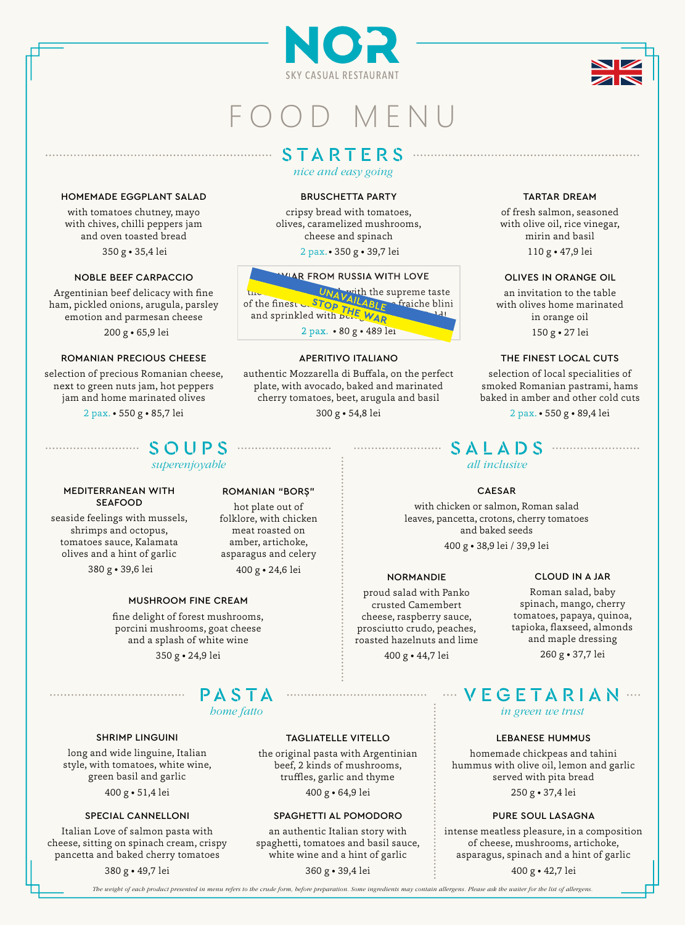



# O O D M F N U

# S T A R T E R S

*nice and easy going*

# HOMEMADE EGGPLANT SALAD

with tomatoes chutney, mayo with chives, chilli peppers jam and oven toasted bread 350 g • 35,4 lei

# NOBLE BEEF CARPACCIO

Argentinian beef delicacy with fine ham, pickled onions, arugula, parsley emotion and parmesan cheese 200 g • 65,9 lei

## ROMANIAN PRECIOUS CHEESE

selection of precious Romanian cheese, next to green nuts jam, hot peppers jam and home marinated olives

2 pax. • 550 g • 85,7 lei

# S O U P S

*superenjoyable*

#### MEDITERRANEAN WITH SEAFOOD

seaside feelings with mussels, shrimps and octopus, tomatoes sauce, Kalamata olives and a hint of garlic

# MUSHROOM FINE CREAM

fine delight of forest mushrooms, porcini mushrooms, goat cheese and a splash of white wine 350 g • 24,9 lei

P A S T A *home fatto*

## SHRIMP LINGUINI

......................................

long and wide linguine, Italian style, with tomatoes, white wine, green basil and garlic 400 g • 51,4 lei 400 g • 64,9 lei

## SPECIAL CANNELLONI

Italian Love of salmon pasta with cheese, sitting on spinach cream, crispy pancetta and baked cherry tomatoes

380 g • 49,7 lei 360 g • 39,4 lei

# BRUSCHETTA PARTY

cripsy bread with tomatoes, olives, caramelized mushrooms, cheese and spinach 2 pax.• 350 g • 39,7 lei 110 g • 47,9 lei



## APERITIVO ITALIANO

authentic Mozzarella di Buffala, on the perfect plate, with avocado, baked and marinated cherry tomatoes, beet, arugula and basil

300 g • 54,8 lei

# TARTAR DREAM

of fresh salmon, seasoned with olive oil, rice vinegar, mirin and basil

## OLIVES IN ORANGE OIL

an invitation to the table with olives home marinated in orange oil 150 g • 27 lei

# THE FINEST LOCAL CUTS

selection of local specialities of smoked Romanian pastrami, hams baked in amber and other cold cuts

2 pax. • 550 g • 89,4 lei

# S A L A D S *all inclusive*

# CAESAR

with chicken or salmon, Roman salad leaves, pancetta, crotons, cherry tomatoes and baked seeds 400 g • 38,9 lei / 39,9 lei

## NORMANDIE

proud salad with Panko crusted Camembert cheese, raspberry sauce, prosciutto crudo, peaches, roasted hazelnuts and lime 400 g • 44,7 lei

# CLOUD IN A JAR

Roman salad, baby spinach, mango, cherry tomatoes, papaya, quinoa, tapioka, flaxseed, almonds and maple dressing

260 g • 37,7 lei

# V E G E T A R I A N *in green we trust*

# LEBANESE HUMMUS

homemade chickpeas and tahini hummus with olive oil, lemon and garlic served with pita bread 250 g • 37,4 lei

# PURE SOUL LASAGNA

intense meatless pleasure, in a composition of cheese, mushrooms, artichoke, asparagus, spinach and a hint of garlic

400 g • 42,7 lei

*The weight of each product presented in menu refers to the crude form, before preparation. Some ingredients may contain allergens. Please ask the waiter for the list of allergens.*

SPAGHETTI AL POMODORO an authentic Italian story with spaghetti, tomatoes and basil sauce, white wine and a hint of garlic

TAGLIATELLE VITELLO the original pasta with Argentinian beef, 2 kinds of mushrooms, truffles, garlic and thyme

hot plate out of folklore, with chicken meat roasted on amber, artichoke, asparagus and celery

ROMANIAN "BORȘ"

380 g • 39,6 lei 400 g • 24,6 lei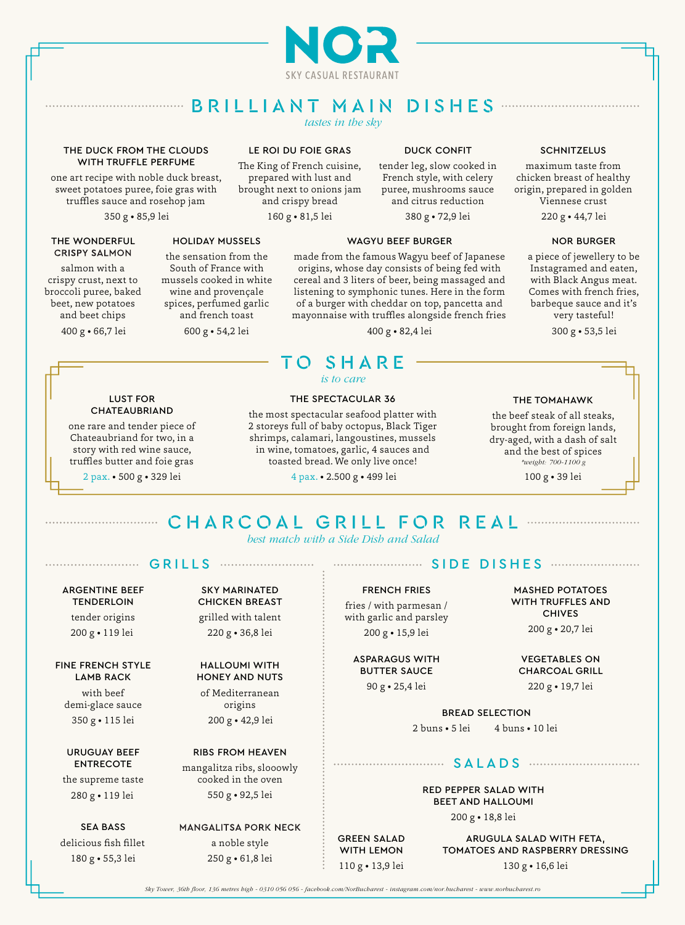

# B R I L L I A N T MAI N DIS H E S

*tastes in the sky*

## THE DUCK FROM THE CLOUDS WITH TRUFFLE PERFUME

one art recipe with noble duck breast, sweet potatoes puree, foie gras with truffles sauce and rosehop jam

#### THE WONDERFUL **CRISPY SALMON**

salmon with a crispy crust, next to broccoli puree, baked beet, new potatoes and beet chips

400 g • 66,7 lei

## the sensation from the South of France with mussels cooked in white wine and provençale spices, perfumed garlic and french toast

HOLIDAY MUSSELS

600 g • 54,2 lei

# LE ROI DU FOIE GRAS

The King of French cuisine, prepared with lust and brought next to onions jam and crispy bread 350 g • 85,9 lei 160 g • 81,5 lei 220 g • 44,7 lei

DUCK CONFIT

tender leg, slow cooked in French style, with celery puree, mushrooms sauce and citrus reduction

380 g • 72,9 lei

## WAGYU BEEF BURGER

# made from the famous Wagyu beef of Japanese origins, whose day consists of being fed with cereal and 3 liters of beer, being massaged and listening to symphonic tunes. Here in the form of a burger with cheddar on top, pancetta and mayonnaise with truffles alongside french fries

400 g • 82,4 lei 300 g • 53,5 lei

# **SCHNITZELUS**

maximum taste from chicken breast of healthy origin, prepared in golden Viennese crust

# NOR BURGER

a piece of jewellery to be Instagramed and eaten, with Black Angus meat. Comes with french fries, barbeque sauce and it's very tasteful!

## LUST FOR CHATEAUBRIAND

one rare and tender piece of Chateaubriand for two, in a story with red wine sauce, truffles butter and foie gras 2 pax. • 500 g • 329 lei

# THE SPECTACULAR 36

the most spectacular seafood platter with 2 storeys full of baby octopus, Black Tiger shrimps, calamari, langoustines, mussels in wine, tomatoes, garlic, 4 sauces and toasted bread. We only live once!

T O S H A R E *is to care*

4 pax. • 500 g • 329 lei • 2.500 g • 499 lei 100 g • 39 lei

# THE TOMAHAWK

the beef steak of all steaks, brought from foreign lands, dry-aged, with a dash of salt and the best of spices *\*weight: 700-1100 g*

# C H A R C O A L GRIL L F O R R E A L

*best match with a Side Dish and Salad*

# G R I L L S

# ARGENTINE BEEF **TENDERLOIN** tender origins

200 g • 119 lei 220 g • 36,8 lei

# FINE FRENCH STYLE LAMB RACK with beef demi-glace sauce

350 g • 115 lei

# URUGUAY BEEF ENTRECOTE

the supreme taste 280 g • 119 lei

# SEA BASS delicious fish fillet

SKY MARINATED CHICKEN BREAST grilled with talent

# HALLOUMI WITH HONEY AND NUTS of Mediterranean

origins 200 g • 42,9 lei

# RIBS FROM HEAVEN

mangalitza ribs, slooowly cooked in the oven 550 g • 92,5 lei

# **MANGALITSA PORK NECK** a noble style 180 g • 55,3 lei 250 g • 61,8 lei

# SIDE DISHE S

## FRENCH FRIES

fries / with parmesan / with garlic and parsley 200 g • 15,9 lei

# ASPARAGUS WITH BUTTER SAUCE

BREAD SELECTION

2 buns • 5 lei 4 buns • 10 lei

# S ALAD S

# RED PEPPER SALAD WITH BEET AND HALLOUMI

200 g • 18,8 lei

ARUGULA SALAD WITH FETA, TOMATOES AND RASPBERRY DRESSING 130 g • 16,6 lei

*Sky Tower, 36th floor, 136 metres high - 0310 056 056 - facebook.com/NorBucharest - instagram.com/nor.bucharest - www.norbucharest.ro*

MASHED POTATOES WITH TRUFFLES AND

> CHIVES 200 g • 20,7 lei

# VEGETABLES ON CHARCOAL GRILL

90 g • 25,4 lei 220 g • 19,7 lei

GREEN SALAD WITH LEMON 110 g • 13,9 lei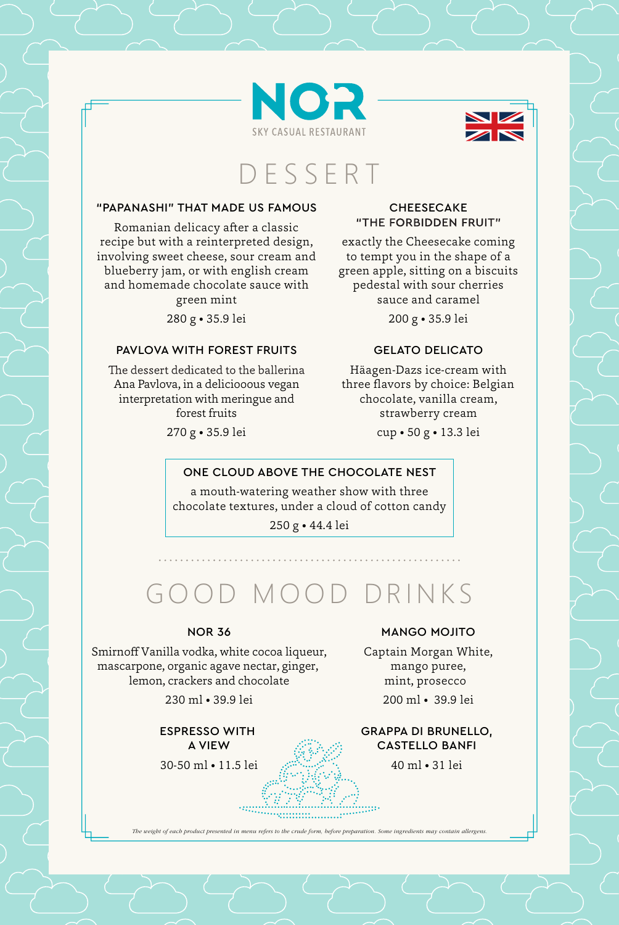



# D E S S E R T

#### "PAPANASHI" THAT MADE US FAMOUS

Romanian delicacy after a classic recipe but with a reinterpreted design, involving sweet cheese, sour cream and blueberry jam, or with english cream and homemade chocolate sauce with

green mint 280 g • 35.9 lei

#### PAVLOVA WITH FOREST FRUITS

The dessert dedicated to the ballerina Ana Pavlova, in a deliciooous vegan interpretation with meringue and forest fruits

270 g • 35.9 lei

#### **CHEESECAKE** "THE FORBIDDEN FRUIT"

exactly the Cheesecake coming to tempt you in the shape of a green apple, sitting on a biscuits pedestal with sour cherries sauce and caramel 200 g • 35.9 lei

GELATO DELICATO

Häagen-Dazs ice-cream with three flavors by choice: Belgian chocolate, vanilla cream, strawberry cream

cup • 50 g • 13.3 lei

#### ONE CLOUD ABOVE THE CHOCOLATE NEST

a mouth-watering weather show with three chocolate textures, under a cloud of cotton candy

250 g • 44.4 lei

# GOOD MOOD DRINKS

#### NOR 36

Smirnoff Vanilla vodka, white cocoa liqueur, mascarpone, organic agave nectar, ginger, lemon, crackers and chocolate

230 ml • 39.9 lei

ESPRESSO WITH A VIEW

30-50 ml • 11.5 lei

#### MANGO MOJITO

Captain Morgan White, mango puree, mint, prosecco 200 ml • 39.9 lei

GRAPPA DI BRUNELLO, CASTELLO BANFI

40 ml • 31 lei

m.

*The weight of each product presented in menu refers to the crude form, before preparation. Some ingredients may contain allergens.*